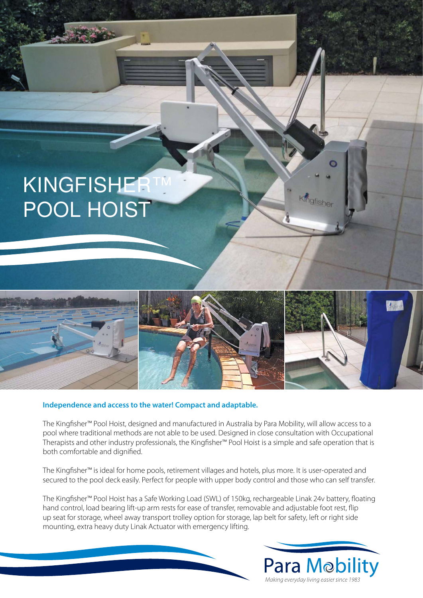# KINGFISHER™ POOL HOIST



#### **Independence and access to the water! Compact and adaptable.**

The Kingfisher™ Pool Hoist, designed and manufactured in Australia by Para Mobility, will allow access to a pool where traditional methods are not able to be used. Designed in close consultation with Occupational Therapists and other industry professionals, the Kingfisher™ Pool Hoist is a simple and safe operation that is both comfortable and dignified.

The Kingfisher™ is ideal for home pools, retirement villages and hotels, plus more. It is user-operated and secured to the pool deck easily. Perfect for people with upper body control and those who can self transfer.

The Kingfisher™ Pool Hoist has a Safe Working Load (SWL) of 150kg, rechargeable Linak 24v battery, floating hand control, load bearing lift-up arm rests for ease of transfer, removable and adjustable foot rest, flip up seat for storage, wheel away transport trolley option for storage, lap belt for safety, left or right side mounting, extra heavy duty Linak Actuator with emergency lifting.



Kngfisher